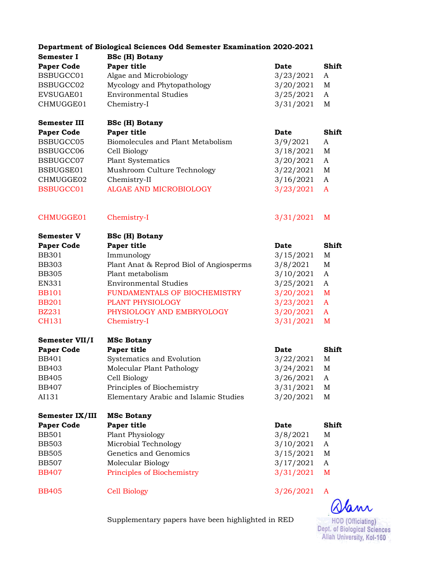|                              | Department of Biological Sciences Odd Semester Examination 2020-2021 |                        |        |
|------------------------------|----------------------------------------------------------------------|------------------------|--------|
| <b>Semester I</b>            | <b>BSc (H) Botany</b>                                                |                        |        |
| <b>Paper Code</b>            | Paper title                                                          | <b>Date</b>            | Shift  |
| BSBUGCC01                    | Algae and Microbiology                                               | 3/23/2021              | A      |
| BSBUGCC02                    | Mycology and Phytopathology                                          | 3/20/2021              | M      |
| EVSUGAE01                    | <b>Environmental Studies</b>                                         | 3/25/2021              | A      |
| CHMUGGE01                    | Chemistry-I                                                          | 3/31/2021              | M      |
| <b>Semester III</b>          | <b>BSc (H) Botany</b>                                                |                        |        |
| <b>Paper Code</b>            | Paper title                                                          | <b>Date</b>            | Shift  |
| BSBUGCC05                    | Biomolecules and Plant Metabolism                                    | 3/9/2021               | A      |
| BSBUGCC06                    | Cell Biology                                                         | 3/18/2021              | M      |
| BSBUGCC07                    | <b>Plant Systematics</b>                                             | 3/20/2021              | A      |
| BSBUGSE01                    | Mushroom Culture Technology                                          | 3/22/2021              | M      |
| CHMUGGE02                    | Chemistry-II                                                         | 3/16/2021              | A      |
| BSBUGCC01                    | ALGAE AND MICROBIOLOGY                                               | 3/23/2021              | A      |
| CHMUGGE01                    | Chemistry-I                                                          | 3/31/2021              | M      |
| <b>Semester V</b>            | <b>BSc (H) Botany</b>                                                |                        |        |
| <b>Paper Code</b>            | Paper title                                                          | <b>Date</b>            | Shift  |
| <b>BB301</b>                 | Immunology                                                           | 3/15/2021              | M      |
| <b>BB303</b>                 | Plant Anat & Reprod Biol of Angiosperms                              | 3/8/2021               | M      |
| <b>BB305</b>                 | Plant metabolism                                                     | 3/10/2021              | A      |
| EN331                        | <b>Environmental Studies</b>                                         | 3/25/2021              | A      |
| <b>BB101</b>                 | FUNDAMENTALS OF BIOCHEMISTRY                                         | 3/20/2021              | M      |
| <b>BB201</b>                 | PLANT PHYSIOLOGY                                                     | 3/23/2021              | A      |
| <b>BZ231</b>                 | PHYSIOLOGY AND EMBRYOLOGY                                            | 3/20/2021              | A      |
| <b>CH131</b>                 | Chemistry-I                                                          | 3/31/2021              | M      |
| Semester VII/I               | <b>MSc Botany</b>                                                    |                        |        |
| <b>Paper Code</b>            | Paper title                                                          | <b>Date</b>            | Shift  |
| <b>BB401</b>                 | Systematics and Evolution                                            | 3/22/2021              | M      |
| <b>BB403</b>                 | Molecular Plant Pathology                                            | 3/24/2021              | M      |
| <b>BB405</b>                 | Cell Biology                                                         | 3/26/2021              | A      |
| <b>BB407</b>                 | Principles of Biochemistry                                           | 3/31/2021              | M      |
| AI131                        | Elementary Arabic and Islamic Studies                                | 3/20/2021              | M      |
| Semester IX/III              | <b>MSc Botany</b>                                                    |                        |        |
| <b>Paper Code</b>            | Paper title                                                          | Date                   | Shift  |
| <b>BB501</b>                 | Plant Physiology                                                     | 3/8/2021               | M      |
| <b>BB503</b>                 | Microbial Technology                                                 | 3/10/2021              | A      |
| <b>BB505</b>                 | Genetics and Genomics                                                | 3/15/2021              | M      |
| <b>BB507</b><br><b>BB407</b> | Molecular Biology<br>Principles of Biochemistry                      | 3/17/2021<br>3/31/2021 | A<br>M |
| <b>BB405</b>                 | <b>Cell Biology</b>                                                  | 3/26/2021              | A      |
|                              |                                                                      |                        |        |

Olam HOD (Officiating)<br>Dept. of Biological Sciences<br>Aliah University, Kol-160

Supplementary papers have been highlighted in RED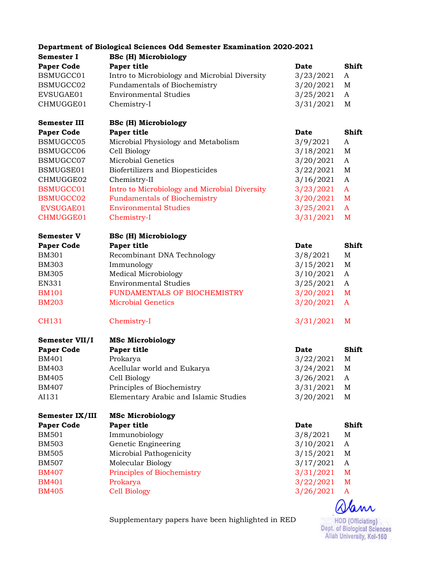|                     | <b>Department of Biological Sciences Odd Semester Examination 2020-2021</b> |             |             |
|---------------------|-----------------------------------------------------------------------------|-------------|-------------|
| <b>Semester I</b>   | <b>BSc (H) Microbiology</b>                                                 |             |             |
| <b>Paper Code</b>   | Paper title                                                                 | <b>Date</b> | Shift       |
| BSMUGCC01           | Intro to Microbiology and Microbial Diversity                               | 3/23/2021   | A           |
| BSMUGCC02           | Fundamentals of Biochemistry                                                | 3/20/2021   | M           |
| EVSUGAE01           | <b>Environmental Studies</b>                                                | 3/25/2021   | A           |
| CHMUGGE01           | Chemistry-I                                                                 | 3/31/2021   | $\mathbf M$ |
| <b>Semester III</b> | <b>BSc (H) Microbiology</b>                                                 |             |             |
| <b>Paper Code</b>   | Paper title                                                                 | <b>Date</b> | Shift       |
| BSMUGCC05           | Microbial Physiology and Metabolism                                         | 3/9/2021    | A           |
| BSMUGCC06           | Cell Biology                                                                | 3/18/2021   | $\mathbf M$ |
| BSMUGCC07           | <b>Microbial Genetics</b>                                                   | 3/20/2021   | A           |
| BSMUGSE01           | Biofertilizers and Biopesticides                                            | 3/22/2021   | $\mathbf M$ |
| CHMUGGE02           | Chemistry-II                                                                | 3/16/2021   | A           |
| BSMUGCC01           | Intro to Microbiology and Microbial Diversity                               | 3/23/2021   | A           |
| <b>BSMUGCC02</b>    | <b>Fundamentals of Biochemistry</b>                                         | 3/20/2021   | M           |
| EVSUGAE01           | <b>Environmental Studies</b>                                                | 3/25/2021   | A           |
| CHMUGGE01           | Chemistry-I                                                                 |             | M           |
|                     |                                                                             | 3/31/2021   |             |
| <b>Semester V</b>   | <b>BSc (H) Microbiology</b>                                                 |             |             |
| <b>Paper Code</b>   | Paper title                                                                 | <b>Date</b> | Shift       |
| <b>BM301</b>        | Recombinant DNA Technology                                                  | 3/8/2021    | M           |
| <b>BM303</b>        | Immunology                                                                  | 3/15/2021   | $\mathbf M$ |
| <b>BM305</b>        | <b>Medical Microbiology</b>                                                 | 3/10/2021   | A           |
| EN331               | <b>Environmental Studies</b>                                                | 3/25/2021   | A           |
| <b>BM101</b>        | FUNDAMENTALS OF BIOCHEMISTRY                                                | 3/20/2021   | M           |
| <b>BM203</b>        | <b>Microbial Genetics</b>                                                   | 3/20/2021   | A           |
| CH131               | Chemistry-I                                                                 | 3/31/2021   | M           |
| Semester VII/I      | <b>MSc Microbiology</b>                                                     |             |             |
| <b>Paper Code</b>   | Paper title                                                                 | <b>Date</b> | Shift       |
| <b>BM401</b>        | Prokarya                                                                    | 3/22/2021   | M           |
| <b>BM403</b>        | Acellular world and Eukarya                                                 | 3/24/2021   | M           |
| <b>BM405</b>        | Cell Biology                                                                | 3/26/2021   | A           |
| <b>BM407</b>        | Principles of Biochemistry                                                  | 3/31/2021   | M           |
| AI131               | Elementary Arabic and Islamic Studies                                       | 3/20/2021   | $\mathbf M$ |
| Semester IX/III     | <b>MSc Microbiology</b>                                                     |             |             |
| <b>Paper Code</b>   | Paper title                                                                 | Date        | Shift       |
| <b>BM501</b>        | Immunobiology                                                               | 3/8/2021    | M           |
| <b>BM503</b>        | Genetic Engineering                                                         | 3/10/2021   | A           |
| <b>BM505</b>        | Microbial Pathogenicity                                                     | 3/15/2021   | M           |
| <b>BM507</b>        | Molecular Biology                                                           | 3/17/2021   | A           |
| <b>BM407</b>        | Principles of Biochemistry                                                  | 3/31/2021   | M           |
| <b>BM401</b>        | Prokarya                                                                    | 3/22/2021   | M           |
| <b>BM405</b>        | <b>Cell Biology</b>                                                         | 3/26/2021   | A           |
|                     |                                                                             |             | $\bigcap$   |

Supplementary papers have been highlighted in RED

Wann HOD (Officiating)<br>Dept. of Biological Sciences<br>Aliah University, Kol-160